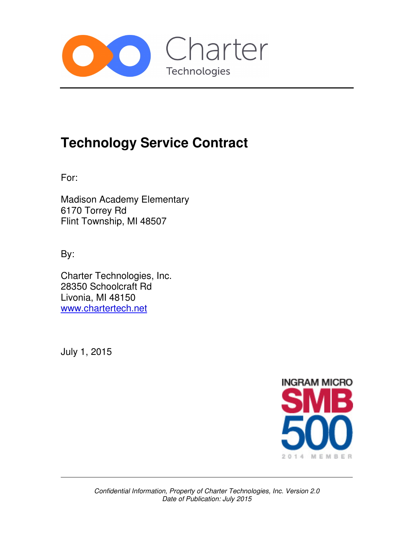

# **Technology Service Contract**

For:

Madison Academy Elementary 6170 Torrey Rd Flint Township, MI 48507

By:

Charter Technologies, Inc. 28350 Schoolcraft Rd Livonia, MI 48150 www.chartertech.net

July 1, 2015

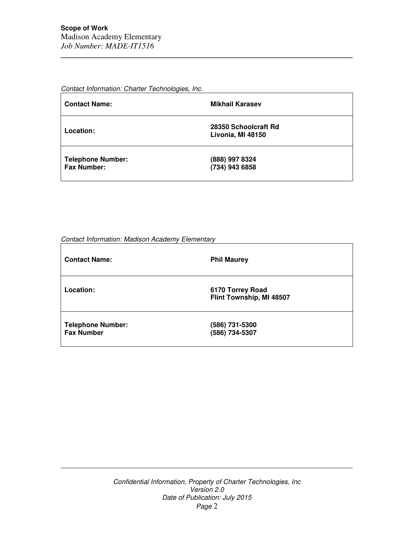Contact Information: Charter Technologies, Inc.

| <b>Contact Name:</b>                           | <b>Mikhail Karasev</b>                    |
|------------------------------------------------|-------------------------------------------|
| Location:                                      | 28350 Schoolcraft Rd<br>Livonia, MI 48150 |
| <b>Telephone Number:</b><br><b>Fax Number:</b> | (888) 997 8324<br>(734) 943 6858          |

Contact Information: Madison Academy Elementary

| <b>Contact Name:</b>                          | <b>Phil Maurey</b>                           |
|-----------------------------------------------|----------------------------------------------|
| Location:                                     | 6170 Torrey Road<br>Flint Township, MI 48507 |
| <b>Telephone Number:</b><br><b>Fax Number</b> | (586) 731-5300<br>(586) 734-5307             |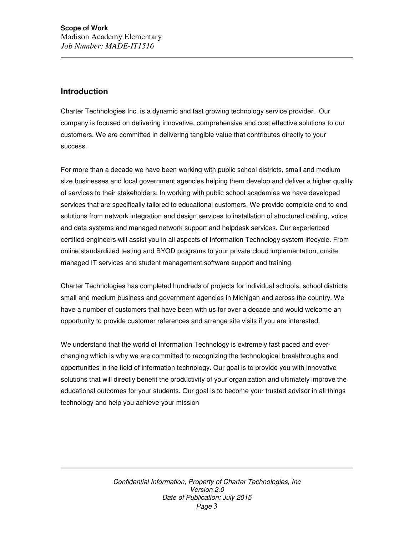# **Introduction**

Charter Technologies Inc. is a dynamic and fast growing technology service provider. Our company is focused on delivering innovative, comprehensive and cost effective solutions to our customers. We are committed in delivering tangible value that contributes directly to your success.

For more than a decade we have been working with public school districts, small and medium size businesses and local government agencies helping them develop and deliver a higher quality of services to their stakeholders. In working with public school academies we have developed services that are specifically tailored to educational customers. We provide complete end to end solutions from network integration and design services to installation of structured cabling, voice and data systems and managed network support and helpdesk services. Our experienced certified engineers will assist you in all aspects of Information Technology system lifecycle. From online standardized testing and BYOD programs to your private cloud implementation, onsite managed IT services and student management software support and training.

Charter Technologies has completed hundreds of projects for individual schools, school districts, small and medium business and government agencies in Michigan and across the country. We have a number of customers that have been with us for over a decade and would welcome an opportunity to provide customer references and arrange site visits if you are interested.

We understand that the world of Information Technology is extremely fast paced and everchanging which is why we are committed to recognizing the technological breakthroughs and opportunities in the field of information technology. Our goal is to provide you with innovative solutions that will directly benefit the productivity of your organization and ultimately improve the educational outcomes for your students. Our goal is to become your trusted advisor in all things technology and help you achieve your mission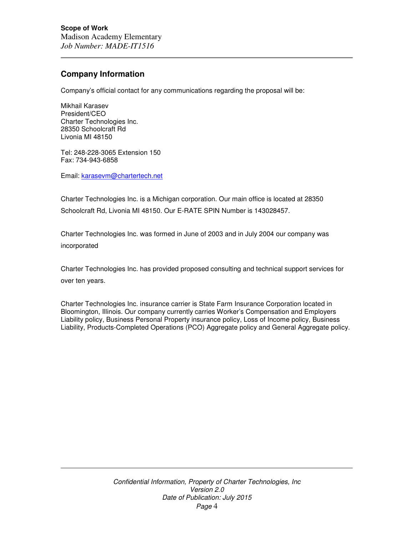# **Company Information**

Company's official contact for any communications regarding the proposal will be:

Mikhail Karasev President/CEO Charter Technologies Inc. 28350 Schoolcraft Rd Livonia MI 48150

Tel: 248-228-3065 Extension 150 Fax: 734-943-6858

Email: karasevm@chartertech.net

Charter Technologies Inc. is a Michigan corporation. Our main office is located at 28350 Schoolcraft Rd, Livonia MI 48150. Our E-RATE SPIN Number is 143028457.

Charter Technologies Inc. was formed in June of 2003 and in July 2004 our company was incorporated

Charter Technologies Inc. has provided proposed consulting and technical support services for over ten years.

Charter Technologies Inc. insurance carrier is State Farm Insurance Corporation located in Bloomington, Illinois. Our company currently carries Worker's Compensation and Employers Liability policy, Business Personal Property insurance policy, Loss of Income policy, Business Liability, Products-Completed Operations (PCO) Aggregate policy and General Aggregate policy.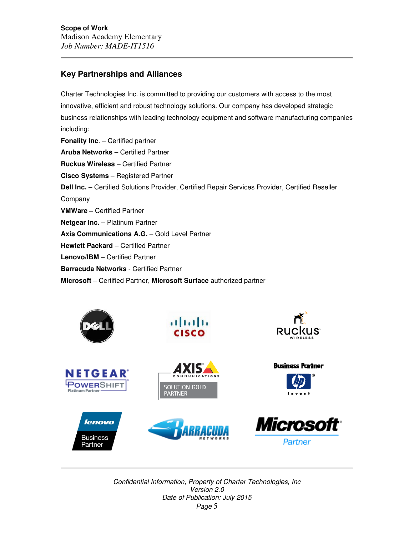# **Key Partnerships and Alliances**

Charter Technologies Inc. is committed to providing our customers with access to the most innovative, efficient and robust technology solutions. Our company has developed strategic business relationships with leading technology equipment and software manufacturing companies including: **Fonality Inc**. – Certified partner **Aruba Networks** – Certified Partner **Ruckus Wireless** – Certified Partner **Cisco Systems** – Registered Partner **Dell Inc.** – Certified Solutions Provider, Certified Repair Services Provider, Certified Reseller Company **VMWare –** Certified Partner **Netgear Inc.** – Platinum Partner **Axis Communications A.G.** – Gold Level Partner **Hewlett Packard** – Certified Partner **Lenovo/IBM** – Certified Partner **Barracuda Networks** - Certified Partner

**Microsoft** – Certified Partner, **Microsoft Surface** authorized partner

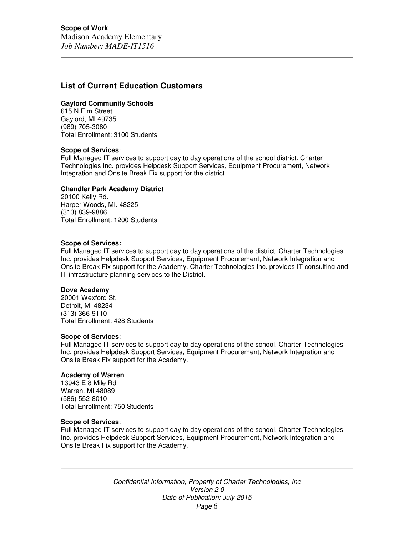# **List of Current Education Customers**

## **Gaylord Community Schools**

615 N Elm Street Gaylord, MI 49735 (989) 705-3080 Total Enrollment: 3100 Students

#### **Scope of Services**:

Full Managed IT services to support day to day operations of the school district. Charter Technologies Inc. provides Helpdesk Support Services, Equipment Procurement, Network Integration and Onsite Break Fix support for the district.

#### **Chandler Park Academy District**

20100 Kelly Rd. Harper Woods, MI. 48225 (313) 839-9886 Total Enrollment: 1200 Students

#### **Scope of Services:**

Full Managed IT services to support day to day operations of the district. Charter Technologies Inc. provides Helpdesk Support Services, Equipment Procurement, Network Integration and Onsite Break Fix support for the Academy. Charter Technologies Inc. provides IT consulting and IT infrastructure planning services to the District.

#### **Dove Academy**

20001 Wexford St, Detroit, MI 48234 (313) 366-9110 Total Enrollment: 428 Students

#### **Scope of Services**:

Full Managed IT services to support day to day operations of the school. Charter Technologies Inc. provides Helpdesk Support Services, Equipment Procurement, Network Integration and Onsite Break Fix support for the Academy.

#### **Academy of Warren**

13943 E 8 Mile Rd Warren, MI 48089 (586) 552-8010 Total Enrollment: 750 Students

#### **Scope of Services**:

Full Managed IT services to support day to day operations of the school. Charter Technologies Inc. provides Helpdesk Support Services, Equipment Procurement, Network Integration and Onsite Break Fix support for the Academy.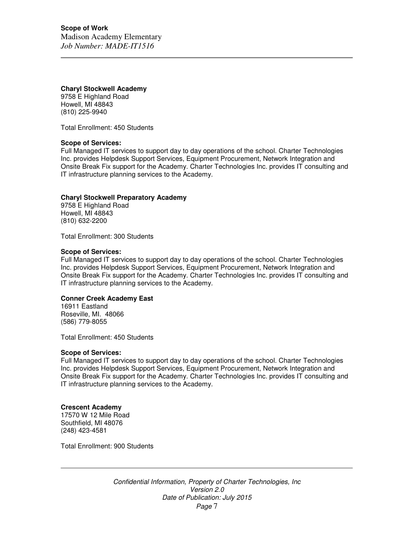# **Charyl Stockwell Academy**

9758 E Highland Road Howell, MI 48843 (810) 225-9940

Total Enrollment: 450 Students

# **Scope of Services:**

Full Managed IT services to support day to day operations of the school. Charter Technologies Inc. provides Helpdesk Support Services, Equipment Procurement, Network Integration and Onsite Break Fix support for the Academy. Charter Technologies Inc. provides IT consulting and IT infrastructure planning services to the Academy.

# **Charyl Stockwell Preparatory Academy**

9758 E Highland Road Howell, MI 48843 (810) 632-2200

Total Enrollment: 300 Students

## **Scope of Services:**

Full Managed IT services to support day to day operations of the school. Charter Technologies Inc. provides Helpdesk Support Services, Equipment Procurement, Network Integration and Onsite Break Fix support for the Academy. Charter Technologies Inc. provides IT consulting and IT infrastructure planning services to the Academy.

# **Conner Creek Academy East**

16911 Eastland Roseville, MI. 48066 (586) 779-8055

Total Enrollment: 450 Students

#### **Scope of Services:**

Full Managed IT services to support day to day operations of the school. Charter Technologies Inc. provides Helpdesk Support Services, Equipment Procurement, Network Integration and Onsite Break Fix support for the Academy. Charter Technologies Inc. provides IT consulting and IT infrastructure planning services to the Academy.

# **Crescent Academy**

17570 W 12 Mile Road Southfield, MI 48076 (248) 423-4581

Total Enrollment: 900 Students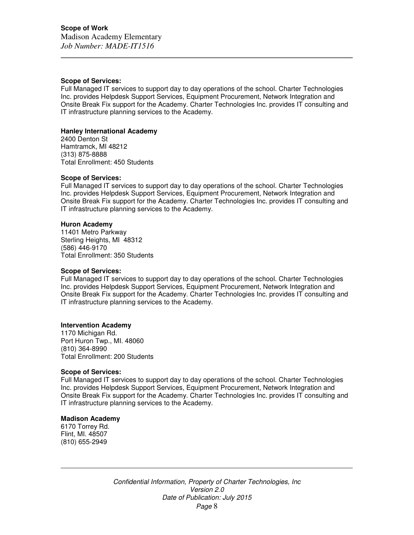#### **Scope of Services:**

Full Managed IT services to support day to day operations of the school. Charter Technologies Inc. provides Helpdesk Support Services, Equipment Procurement, Network Integration and Onsite Break Fix support for the Academy. Charter Technologies Inc. provides IT consulting and IT infrastructure planning services to the Academy.

## **Hanley International Academy**

2400 Denton St Hamtramck, MI 48212 (313) 875-8888 Total Enrollment: 450 Students

#### **Scope of Services:**

Full Managed IT services to support day to day operations of the school. Charter Technologies Inc. provides Helpdesk Support Services, Equipment Procurement, Network Integration and Onsite Break Fix support for the Academy. Charter Technologies Inc. provides IT consulting and IT infrastructure planning services to the Academy.

#### **Huron Academy**

11401 Metro Parkway Sterling Heights, MI 48312 (586) 446-9170 Total Enrollment: 350 Students

#### **Scope of Services:**

Full Managed IT services to support day to day operations of the school. Charter Technologies Inc. provides Helpdesk Support Services, Equipment Procurement, Network Integration and Onsite Break Fix support for the Academy. Charter Technologies Inc. provides IT consulting and IT infrastructure planning services to the Academy.

#### **Intervention Academy**

1170 Michigan Rd. Port Huron Twp., MI. 48060 (810) 364-8990 Total Enrollment: 200 Students

#### **Scope of Services:**

Full Managed IT services to support day to day operations of the school. Charter Technologies Inc. provides Helpdesk Support Services, Equipment Procurement, Network Integration and Onsite Break Fix support for the Academy. Charter Technologies Inc. provides IT consulting and IT infrastructure planning services to the Academy.

#### **Madison Academy**

6170 Torrey Rd. Flint, MI. 48507 (810) 655-2949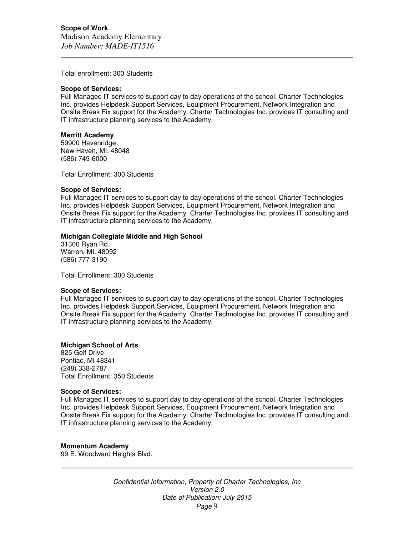Total enrollment: 300 Students

#### **Scope of Services:**

Full Managed IT services to support day to day operations of the school. Charter Technologies Inc. provides Helpdesk Support Services, Equipment Procurement, Network Integration and Onsite Break Fix support for the Academy. Charter Technologies Inc. provides IT consulting and IT infrastructure planning services to the Academy.

#### **Merritt Academy**

59900 Havenridge New Haven, MI. 48048 (586) 749-6000

Total Enrollment: 300 Students

#### **Scope of Services:**

Full Managed IT services to support day to day operations of the school. Charter Technologies Inc. provides Helpdesk Support Services, Equipment Procurement, Network Integration and Onsite Break Fix support for the Academy. Charter Technologies Inc. provides IT consulting and IT infrastructure planning services to the Academy.

#### **Michigan Collegiate Middle and High School**

31300 Ryan Rd. Warren, MI. 48092 (586) 777-3190

Total Enrollment: 300 Students

#### **Scope of Services:**

Full Managed IT services to support day to day operations of the school. Charter Technologies Inc. provides Helpdesk Support Services, Equipment Procurement, Network Integration and Onsite Break Fix support for the Academy. Charter Technologies Inc. provides IT consulting and IT infrastructure planning services to the Academy.

# **Michigan School of Arts**

825 Golf Drive Pontiac, MI 48341 (248) 338-2787 Total Enrollment: 350 Students

#### **Scope of Services:**

Full Managed IT services to support day to day operations of the school. Charter Technologies Inc. provides Helpdesk Support Services, Equipment Procurement, Network Integration and Onsite Break Fix support for the Academy. Charter Technologies Inc. provides IT consulting and IT infrastructure planning services to the Academy.

#### **Momentum Academy**

99 E. Woodward Heights Blvd.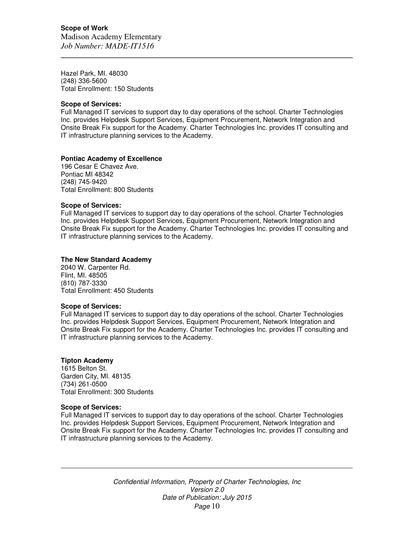Hazel Park, MI. 48030 (248) 336-5600 Total Enrollment: 150 Students

## **Scope of Services:**

Full Managed IT services to support day to day operations of the school. Charter Technologies Inc. provides Helpdesk Support Services, Equipment Procurement, Network Integration and Onsite Break Fix support for the Academy. Charter Technologies Inc. provides IT consulting and IT infrastructure planning services to the Academy.

## **Pontiac Academy of Excellence**

196 Cesar E Chavez Ave. Pontiac MI 48342 (248) 745-9420 Total Enrollment: 800 Students

# **Scope of Services:**

Full Managed IT services to support day to day operations of the school. Charter Technologies Inc. provides Helpdesk Support Services, Equipment Procurement, Network Integration and Onsite Break Fix support for the Academy. Charter Technologies Inc. provides IT consulting and IT infrastructure planning services to the Academy.

## **The New Standard Academy**

2040 W. Carpenter Rd. Flint, MI. 48505 (810) 787-3330 Total Enrollment: 450 Students

#### **Scope of Services:**

Full Managed IT services to support day to day operations of the school. Charter Technologies Inc. provides Helpdesk Support Services, Equipment Procurement, Network Integration and Onsite Break Fix support for the Academy. Charter Technologies Inc. provides IT consulting and IT infrastructure planning services to the Academy.

#### **Tipton Academy**

1615 Belton St. Garden City, MI. 48135 (734) 261-0500 Total Enrollment: 300 Students

#### **Scope of Services:**

Full Managed IT services to support day to day operations of the school. Charter Technologies Inc. provides Helpdesk Support Services, Equipment Procurement, Network Integration and Onsite Break Fix support for the Academy. Charter Technologies Inc. provides IT consulting and IT infrastructure planning services to the Academy.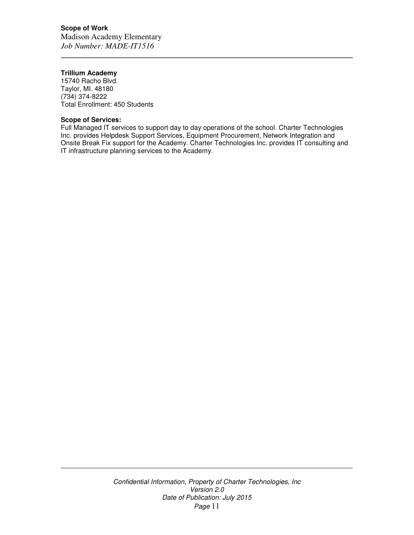# **Scope of Work**

Madison Academy Elementary *Job Number: MADE-IT1516* 

# **Trillium Academy**

15740 Racho Blvd. Taylor, MI. 48180 (734) 374-8222 Total Enrollment: 450 Students

# **Scope of Services:**

Full Managed IT services to support day to day operations of the school. Charter Technologies Inc. provides Helpdesk Support Services, Equipment Procurement, Network Integration and Onsite Break Fix support for the Academy. Charter Technologies Inc. provides IT consulting and IT infrastructure planning services to the Academy.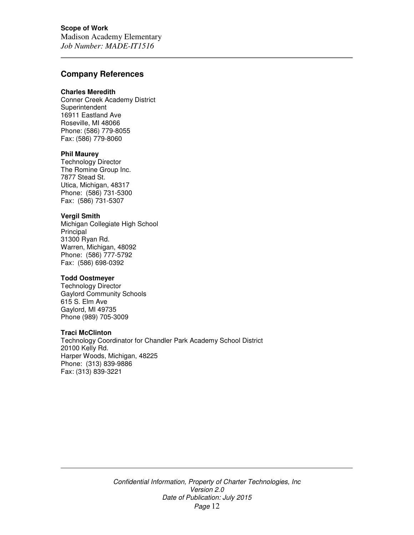# **Scope of Work**

Madison Academy Elementary *Job Number: MADE-IT1516* 

# **Company References**

#### **Charles Meredith**

Conner Creek Academy District **Superintendent** 16911 Eastland Ave Roseville, MI 48066 Phone: (586) 779-8055 Fax: (586) 779-8060

## **Phil Maurey**

Technology Director The Romine Group Inc. 7877 Stead St. Utica, Michigan, 48317 Phone: (586) 731-5300 Fax: (586) 731-5307

#### **Vergil Smith**

Michigan Collegiate High School **Principal** 31300 Ryan Rd. Warren, Michigan, 48092 Phone: (586) 777-5792 Fax: (586) 698-0392

# **Todd Oostmeyer**

Technology Director Gaylord Community Schools 615 S. Elm Ave Gaylord, MI 49735 Phone (989) 705-3009

#### **Traci McClinton**

Technology Coordinator for Chandler Park Academy School District 20100 Kelly Rd. Harper Woods, Michigan, 48225 Phone: (313) 839-9886 Fax: (313) 839-3221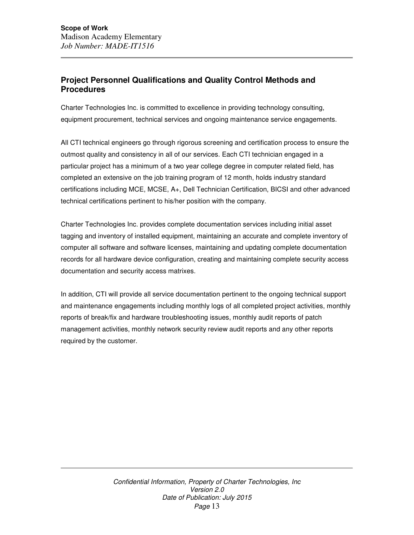# **Project Personnel Qualifications and Quality Control Methods and Procedures**

Charter Technologies Inc. is committed to excellence in providing technology consulting, equipment procurement, technical services and ongoing maintenance service engagements.

All CTI technical engineers go through rigorous screening and certification process to ensure the outmost quality and consistency in all of our services. Each CTI technician engaged in a particular project has a minimum of a two year college degree in computer related field, has completed an extensive on the job training program of 12 month, holds industry standard certifications including MCE, MCSE, A+, Dell Technician Certification, BICSI and other advanced technical certifications pertinent to his/her position with the company.

Charter Technologies Inc. provides complete documentation services including initial asset tagging and inventory of installed equipment, maintaining an accurate and complete inventory of computer all software and software licenses, maintaining and updating complete documentation records for all hardware device configuration, creating and maintaining complete security access documentation and security access matrixes.

In addition, CTI will provide all service documentation pertinent to the ongoing technical support and maintenance engagements including monthly logs of all completed project activities, monthly reports of break/fix and hardware troubleshooting issues, monthly audit reports of patch management activities, monthly network security review audit reports and any other reports required by the customer.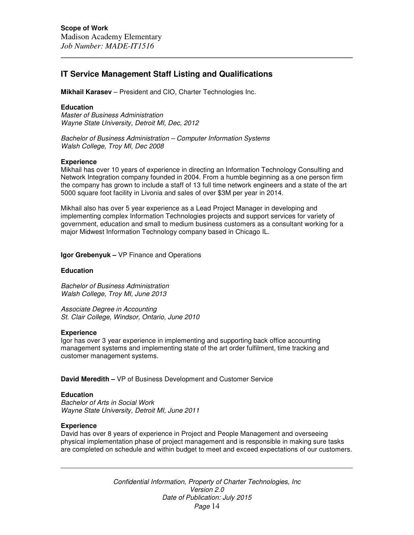# **IT Service Management Staff Listing and Qualifications**

**Mikhail Karasev** – President and CIO, Charter Technologies Inc.

## **Education**

Master of Business Administration Wayne State University, Detroit MI, Dec, 2012

Bachelor of Business Administration – Computer Information Systems Walsh College, Troy MI, Dec 2008

## **Experience**

Mikhail has over 10 years of experience in directing an Information Technology Consulting and Network Integration company founded in 2004. From a humble beginning as a one person firm the company has grown to include a staff of 13 full time network engineers and a state of the art 5000 square foot facility in Livonia and sales of over \$3M per year in 2014.

Mikhail also has over 5 year experience as a Lead Project Manager in developing and implementing complex Information Technologies projects and support services for variety of government, education and small to medium business customers as a consultant working for a major Midwest Information Technology company based in Chicago IL.

**Igor Grebenyuk –** VP Finance and Operations

## **Education**

Bachelor of Business Administration Walsh College, Troy MI, June 2013

Associate Degree in Accounting St. Clair College, Windsor, Ontario, June 2010

#### **Experience**

Igor has over 3 year experience in implementing and supporting back office accounting management systems and implementing state of the art order fulfilment, time tracking and customer management systems.

**David Meredith –** VP of Business Development and Customer Service

## **Education**

Bachelor of Arts in Social Work Wayne State University, Detroit MI, June 2011

#### **Experience**

David has over 8 years of experience in Project and People Management and overseeing physical implementation phase of project management and is responsible in making sure tasks are completed on schedule and within budget to meet and exceed expectations of our customers.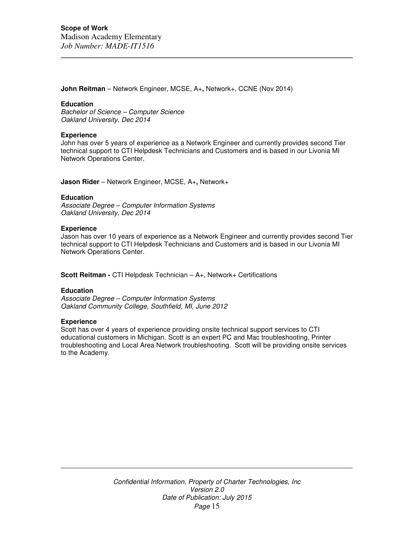**John Reitman** – Network Engineer, MCSE, A+**,** Network+, CCNE (Nov 2014)

#### **Education**

Bachelor of Science – Computer Science Oakland University, Dec 2014

#### **Experience**

John has over 5 years of experience as a Network Engineer and currently provides second Tier technical support to CTI Helpdesk Technicians and Customers and is based in our Livonia MI Network Operations Center.

**Jason Rider** – Network Engineer, MCSE, A+**,** Network+

#### **Education**

Associate Degree – Computer Information Systems Oakland University, Dec 2014

#### **Experience**

Jason has over 10 years of experience as a Network Engineer and currently provides second Tier technical support to CTI Helpdesk Technicians and Customers and is based in our Livonia MI Network Operations Center.

**Scott Reitman -** CTI Helpdesk Technician – A+, Network+ Certifications

#### **Education**

Associate Degree – Computer Information Systems Oakland Community College, Southfield, MI, June 2012

#### **Experience**

Scott has over 4 years of experience providing onsite technical support services to CTI educational customers in Michigan. Scott is an expert PC and Mac troubleshooting, Printer troubleshooting and Local Area Network troubleshooting. Scott will be providing onsite services to the Academy.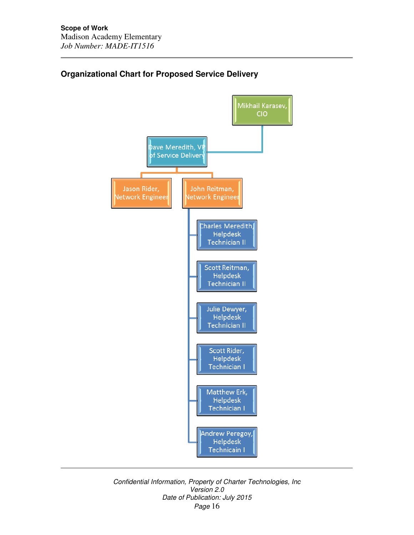

# **Organizational Chart for Proposed Service Delivery**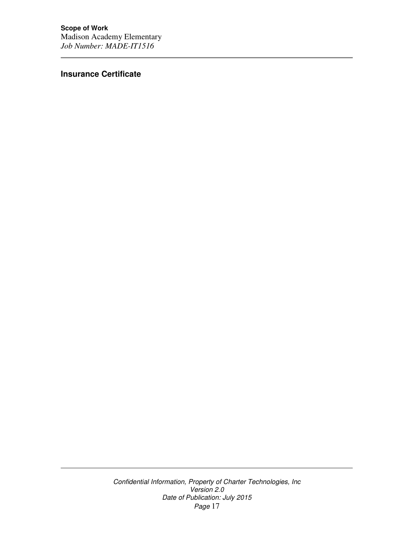**Insurance Certificate**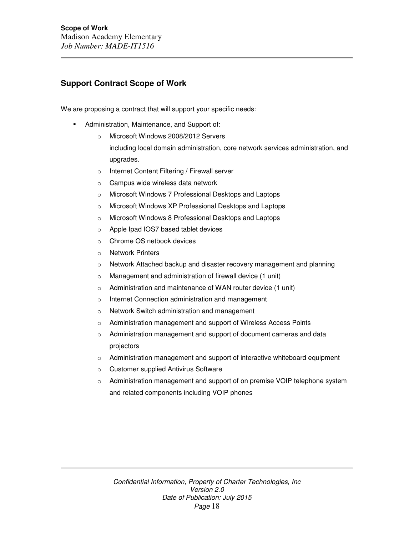# **Support Contract Scope of Work**

We are proposing a contract that will support your specific needs:

- Administration, Maintenance, and Support of:
	- o Microsoft Windows 2008/2012 Servers including local domain administration, core network services administration, and upgrades.
	- o Internet Content Filtering / Firewall server
	- o Campus wide wireless data network
	- o Microsoft Windows 7 Professional Desktops and Laptops
	- o Microsoft Windows XP Professional Desktops and Laptops
	- o Microsoft Windows 8 Professional Desktops and Laptops
	- o Apple Ipad IOS7 based tablet devices
	- o Chrome OS netbook devices
	- o Network Printers
	- o Network Attached backup and disaster recovery management and planning
	- o Management and administration of firewall device (1 unit)
	- o Administration and maintenance of WAN router device (1 unit)
	- o Internet Connection administration and management
	- o Network Switch administration and management
	- o Administration management and support of Wireless Access Points
	- o Administration management and support of document cameras and data projectors
	- o Administration management and support of interactive whiteboard equipment
	- o Customer supplied Antivirus Software
	- o Administration management and support of on premise VOIP telephone system and related components including VOIP phones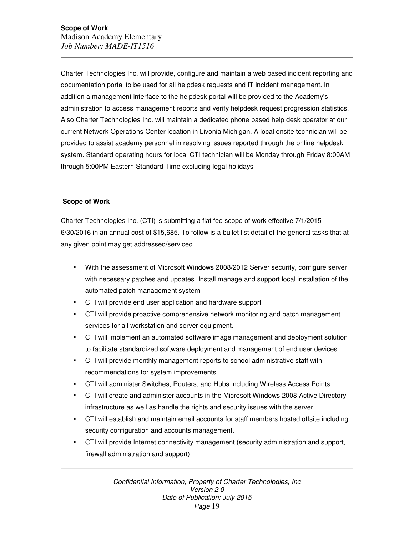Charter Technologies Inc. will provide, configure and maintain a web based incident reporting and documentation portal to be used for all helpdesk requests and IT incident management. In addition a management interface to the helpdesk portal will be provided to the Academy's administration to access management reports and verify helpdesk request progression statistics. Also Charter Technologies Inc. will maintain a dedicated phone based help desk operator at our current Network Operations Center location in Livonia Michigan. A local onsite technician will be provided to assist academy personnel in resolving issues reported through the online helpdesk system. Standard operating hours for local CTI technician will be Monday through Friday 8:00AM through 5:00PM Eastern Standard Time excluding legal holidays

# **Scope of Work**

Charter Technologies Inc. (CTI) is submitting a flat fee scope of work effective 7/1/2015- 6/30/2016 in an annual cost of \$15,685. To follow is a bullet list detail of the general tasks that at any given point may get addressed/serviced.

- With the assessment of Microsoft Windows 2008/2012 Server security, configure server with necessary patches and updates. Install manage and support local installation of the automated patch management system
- CTI will provide end user application and hardware support
- CTI will provide proactive comprehensive network monitoring and patch management services for all workstation and server equipment.
- CTI will implement an automated software image management and deployment solution to facilitate standardized software deployment and management of end user devices.
- CTI will provide monthly management reports to school administrative staff with recommendations for system improvements.
- CTI will administer Switches, Routers, and Hubs including Wireless Access Points.
- CTI will create and administer accounts in the Microsoft Windows 2008 Active Directory infrastructure as well as handle the rights and security issues with the server.
- CTI will establish and maintain email accounts for staff members hosted offsite including security configuration and accounts management.
- CTI will provide Internet connectivity management (security administration and support, firewall administration and support)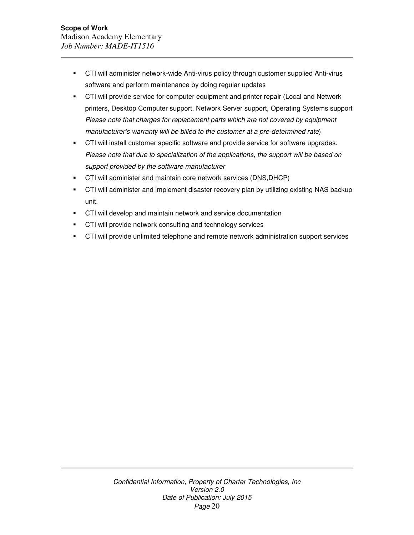- CTI will administer network-wide Anti-virus policy through customer supplied Anti-virus software and perform maintenance by doing regular updates
- **•** CTI will provide service for computer equipment and printer repair (Local and Network printers, Desktop Computer support, Network Server support, Operating Systems support Please note that charges for replacement parts which are not covered by equipment manufacturer's warranty will be billed to the customer at a pre-determined rate)
- **CTI will install customer specific software and provide service for software upgrades.** Please note that due to specialization of the applications, the support will be based on support provided by the software manufacturer
- CTI will administer and maintain core network services (DNS,DHCP)
- CTI will administer and implement disaster recovery plan by utilizing existing NAS backup unit.
- CTI will develop and maintain network and service documentation
- **CTI will provide network consulting and technology services**
- CTI will provide unlimited telephone and remote network administration support services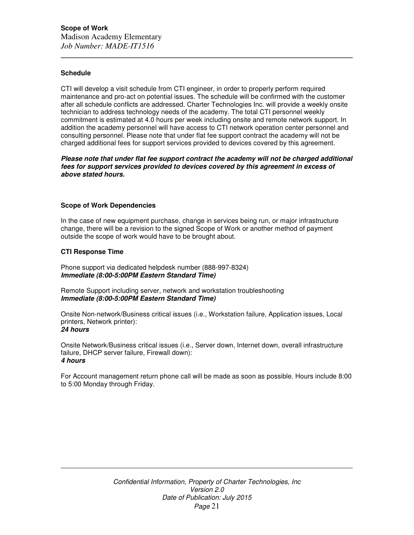## **Schedule**

CTI will develop a visit schedule from CTI engineer, in order to properly perform required maintenance and pro-act on potential issues. The schedule will be confirmed with the customer after all schedule conflicts are addressed. Charter Technologies Inc. will provide a weekly onsite technician to address technology needs of the academy. The total CTI personnel weekly commitment is estimated at 4.0 hours per week including onsite and remote network support. In addition the academy personnel will have access to CTI network operation center personnel and consulting personnel. Please note that under flat fee support contract the academy will not be charged additional fees for support services provided to devices covered by this agreement.

**Please note that under flat fee support contract the academy will not be charged additional fees for support services provided to devices covered by this agreement in excess of above stated hours.** 

#### **Scope of Work Dependencies**

In the case of new equipment purchase, change in services being run, or major infrastructure change, there will be a revision to the signed Scope of Work or another method of payment outside the scope of work would have to be brought about.

## **CTI Response Time**

Phone support via dedicated helpdesk number (888-997-8324) **Immediate (8:00-5:00PM Eastern Standard Time)** 

Remote Support including server, network and workstation troubleshooting **Immediate (8:00-5:00PM Eastern Standard Time)** 

Onsite Non-network/Business critical issues (i.e., Workstation failure, Application issues, Local printers, Network printer): **24 hours** 

Onsite Network/Business critical issues (i.e., Server down, Internet down, overall infrastructure failure, DHCP server failure, Firewall down): **4 hours** 

For Account management return phone call will be made as soon as possible. Hours include 8:00 to 5:00 Monday through Friday.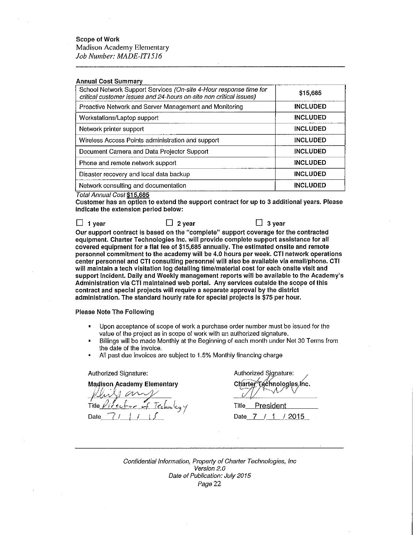## **Scope of Work**

Madison Academy Elementary Job Number: MADE-IT1516

#### **Annual Cost Summary**

| School Network Support Services (On-site 4-Hour response time for<br>critical customer issues and 24-hours on-site non critical issues) | \$15,685        |
|-----------------------------------------------------------------------------------------------------------------------------------------|-----------------|
| Proactive Network and Server Management and Monitoring                                                                                  | <b>INCLUDED</b> |
| Workstations/Laptop support                                                                                                             | <b>INCLUDED</b> |
| Network printer support                                                                                                                 | <b>INCLUDED</b> |
| Wireless Access Points administration and support                                                                                       | <b>INCLUDED</b> |
| Document Camera and Data Projector Support                                                                                              | <b>INCLUDED</b> |
| Phone and remote network support                                                                                                        | <b>INCLUDED</b> |
| Disaster recovery and local data backup                                                                                                 | <b>INCLUDED</b> |
| Network consulting and documentation                                                                                                    | <b>INCLUDED</b> |

Total Annual Cost \$15.685

Customer has an option to extend the support contract for up to 3 additional years. Please indicate the extension period below:

 $\Box$  1 year  $\Box$  2 year

Our support contract is based on the "complete" support coverage for the contracted equipment. Charter Technologies Inc. will provide complete support assistance for all covered equipment for a flat fee of \$15,685 annually. The estimated onsite and remote personnel commitment to the academy will be 4.0 hours per week. CTI network operations center personnel and CTI consulting personnel will also be available via email/phone. CTI will maintain a tech visitation log detailing time/material cost for each onsite visit and support incident. Daily and Weekly management reports will be available to the Academy's Administration via CTI maintained web portal. Any services outside the scope of this contract and special projects will require a separate approval by the district administration. The standard hourly rate for special projects is \$75 per hour.

#### Please Note The Following

- $\blacksquare$ Upon acceptance of scope of work a purchase order number must be issued for the value of the project as in scope of work with an authorized signature.
- Billings will be made Monthly at the Beginning of each month under Net 30 Terms from the date of the invoice.
- All past due invoices are subject to 1.5% Monthly financing charge

Authorized Signature:

**Madison Academy Elementary** 

Title Date

Authorized Signature: Charter ξéchnologies inc.

 $\Box$  3 year

Title President Date 7  $/1$  / 2015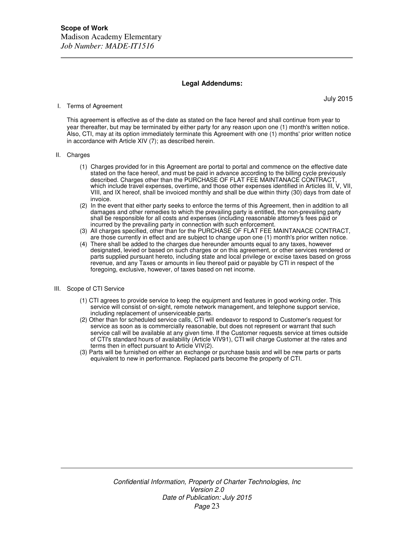#### **Legal Addendums:**

#### I. Terms of Agreement

July 2015

This agreement is effective as of the date as stated on the face hereof and shall continue from year to year thereafter, but may be terminated by either party for any reason upon one (1) month's written notice. Also, CTI, may at its option immediately terminate this Agreement with one (1) months' prior written notice in accordance with Article XIV (7); as described herein.

#### II. Charges

- (1) Charges provided for in this Agreement are portal to portal and commence on the effective date stated on the face hereof, and must be paid in advance according to the billing cycle previously described. Charges other than the PURCHASE OF FLAT FEE MAINTANACE CONTRACT, which include travel expenses, overtime, and those other expenses identified in Articles III, V, VII, VIII, and IX hereof, shall be invoiced monthly and shall be due within thirty (30) days from date of invoice.
- (2) In the event that either party seeks to enforce the terms of this Agreement, then in addition to all damages and other remedies to which the prevailing party is entitled, the non-prevailing party shall be responsible for all costs and expenses (including reasonable attorney's fees paid or incurred by the prevailing party in connection with such enforcement.
- (3) All charges specified, other than for the PURCHASE OF FLAT FEE MAINTANACE CONTRACT, are those currently in effect and are subject to change upon one (1) month's prior written notice.
- (4) There shall be added to the charges due hereunder amounts equal to any taxes, however designated, levied or based on such charges or on this agreement, or other services rendered or parts supplied pursuant hereto, including state and local privilege or excise taxes based on gross revenue, and any Taxes or amounts in lieu thereof paid or payable by CTI in respect of the foregoing, exclusive, however, of taxes based on net income.
- III. Scope of CTI Service
	- (1) CTI agrees to provide service to keep the equipment and features in good working order. This service will consist of on-sight, remote network management, and telephone support service, including replacement of unserviceable parts.
	- (2) Other than for scheduled service calls, CTI will endeavor to respond to Customer's request for service as soon as is commercially reasonable, but does not represent or warrant that such service call will be available at any given time. If the Customer requests service at times outside of CTI's standard hours of availability (Article VIV91), CTI will charge Customer at the rates and terms then in effect pursuant to Article VIV(2).
	- (3) Parts will be furnished on either an exchange or purchase basis and will be new parts or parts equivalent to new in performance. Replaced parts become the property of CTI.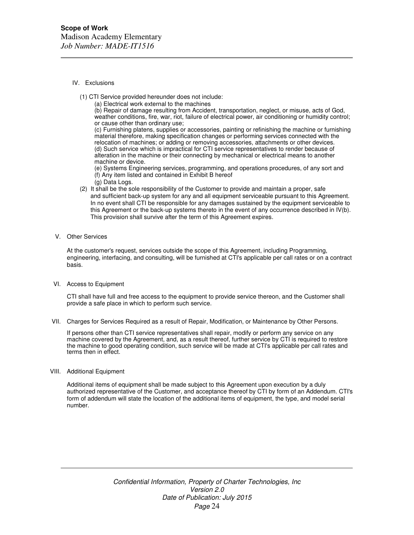#### IV. Exclusions

- (1) CTI Service provided hereunder does not include:
	- (a) Electrical work external to the machines

(b) Repair of damage resulting from Accident, transportation, neglect, or misuse, acts of God, weather conditions, fire, war, riot, failure of electrical power, air conditioning or humidity control; or cause other than ordinary use;

(c) Furnishing platens, supplies or accessories, painting or refinishing the machine or furnishing material therefore, making specification changes or performing services connected with the relocation of machines; or adding or removing accessories, attachments or other devices. (d) Such service which is impractical for CTI service representatives to render because of alteration in the machine or their connecting by mechanical or electrical means to another machine or device.

(e) Systems Engineering services, programming, and operations procedures, of any sort and (f) Any item listed and contained in Exhibit B hereof

- (g) Data Logs.
- (2) It shall be the sole responsibility of the Customer to provide and maintain a proper, safe and sufficient back-up system for any and all equipment serviceable pursuant to this Agreement. In no event shall CTI be responsible for any damages sustained by the equipment serviceable to this Agreement or the back-up systems thereto in the event of any occurrence described in IV(b). This provision shall survive after the term of this Agreement expires.
- V. Other Services

At the customer's request, services outside the scope of this Agreement, including Programming, engineering, interfacing, and consulting, will be furnished at CTI's applicable per call rates or on a contract basis.

VI. Access to Equipment

CTI shall have full and free access to the equipment to provide service thereon, and the Customer shall provide a safe place in which to perform such service.

VII. Charges for Services Required as a result of Repair, Modification, or Maintenance by Other Persons.

If persons other than CTI service representatives shall repair, modify or perform any service on any machine covered by the Agreement, and, as a result thereof, further service by CTI is required to restore the machine to good operating condition, such service will be made at CTI's applicable per call rates and terms then in effect.

VIII. Additional Equipment

Additional items of equipment shall be made subject to this Agreement upon execution by a duly authorized representative of the Customer, and acceptance thereof by CTI by form of an Addendum. CTI's form of addendum will state the location of the additional items of equipment, the type, and model serial number.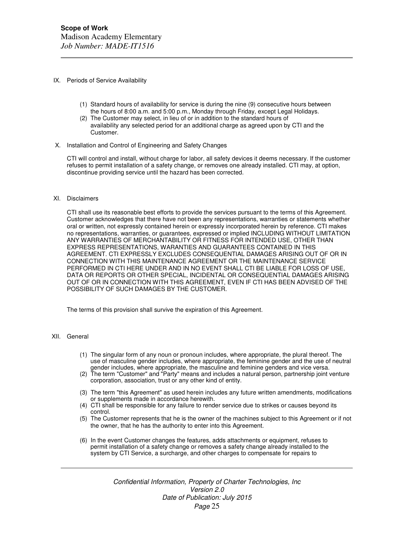#### IX. Periods of Service Availability

- (1) Standard hours of availability for service is during the nine (9) consecutive hours between the hours of 8:00 a.m. and 5:00 p.m., Monday through Friday, except Legal Holidays.
- (2) The Customer may select, in lieu of or in addition to the standard hours of availability any selected period for an additional charge as agreed upon by CTI and the Customer.
- X. Installation and Control of Engineering and Safety Changes

CTI will control and install, without charge for labor, all safety devices it deems necessary. If the customer refuses to permit installation of a safety change, or removes one already installed. CTI may, at option, discontinue providing service until the hazard has been corrected.

#### XI. Disclaimers

CTI shall use its reasonable best efforts to provide the services pursuant to the terms of this Agreement. Customer acknowledges that there have not been any representations, warranties or statements whether oral or written, not expressly contained herein or expressly incorporated herein by reference. CTI makes no representations, warranties, or guarantees, expressed or implied INCLUDING WITHOUT LIMITATION ANY WARRANTIES OF MERCHANTABILITY OR FITNESS FOR INTENDED USE, OTHER THAN EXPRESS REPRESENTATIONS, WARANTIES AND GUARANTEES CONTAINED IN THIS AGREEMENT. CTI EXPRESSLY EXCLUDES CONSEQUENTIAL DAMAGES ARISING OUT OF OR IN CONNECTION WITH THIS MAINTENANCE AGREEMENT OR THE MAINTENANCE SERVICE PERFORMED IN CTI HERE UNDER AND IN NO EVENT SHALL CTI BE LIABLE FOR LOSS OF USE, DATA OR REPORTS OR OTHER SPECIAL, INCIDENTAL OR CONSEQUENTIAL DAMAGES ARISING OUT OF OR IN CONNECTION WITH THIS AGREEMENT, EVEN IF CTI HAS BEEN ADVISED OF THE POSSIBILITY OF SUCH DAMAGES BY THE CUSTOMER.

The terms of this provision shall survive the expiration of this Agreement.

#### XII. General

- (1) The singular form of any noun or pronoun includes, where appropriate, the plural thereof. The use of masculine gender includes, where appropriate, the feminine gender and the use of neutral gender includes, where appropriate, the masculine and feminine genders and vice versa.
- (2) The term "Customer" and "Party" means and includes a natural person, partnership joint venture corporation, association, trust or any other kind of entity.
- (3) The term "this Agreement" as used herein includes any future written amendments, modifications or supplements made in accordance herewith.
- (4) CTI shall be responsible for any failure to render service due to strikes or causes beyond its control.
- (5) The Customer represents that he is the owner of the machines subject to this Agreement or if not the owner, that he has the authority to enter into this Agreement.
- (6) In the event Customer changes the features, adds attachments or equipment, refuses to permit installation of a safety change or removes a safety change already installed to the system by CTI Service, a surcharge, and other charges to compensate for repairs to